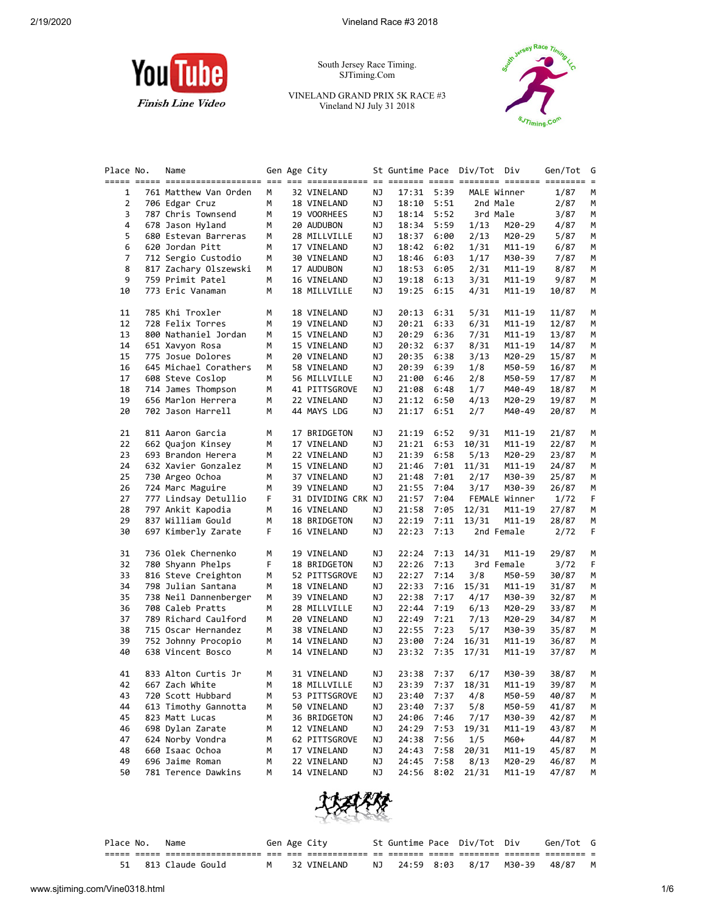

South Jersey Race Timing. SJTiming.Com

VINELAND GRAND PRIX 5K RACE #3 Vineland NJ July 31 2018



| Place No. | Name                  |    | Gen Age City       |    | St Guntime Pace Div/Tot Div |            |          |               | Gen/Tot | G |
|-----------|-----------------------|----|--------------------|----|-----------------------------|------------|----------|---------------|---------|---|
|           |                       |    |                    |    |                             |            |          |               |         |   |
| 1         | 761 Matthew Van Orden | М  | 32 VINELAND        | ΝJ |                             | 17:31 5:39 |          | MALE Winner   | 1/87    | М |
| 2         | 706 Edgar Cruz        | м  | 18 VINELAND        | ΝJ | 18:10                       | 5:51       | 2nd Male |               | 2/87    | м |
| 3         | 787 Chris Townsend    | м  | 19 VOORHEES        | ΝJ | 18:14                       | 5:52       | 3rd Male |               | 3/87    | м |
| 4         | 678 Jason Hyland      | м  | 20 AUDUBON         | ΝJ | 18:34                       | 5:59       | 1/13     | M20-29        | 4/87    | М |
| 5         | 680 Estevan Barreras  | М  | 28 MILLVILLE       | ΝJ | 18:37                       | 6:00       | 2/13     | M20-29        | 5/87    | М |
| 6         | 620 Jordan Pitt       | м  | 17 VINELAND        | ΝJ | 18:42                       | 6:02       | 1/31     | M11-19        | 6/87    | М |
| 7         | 712 Sergio Custodio   | м  | 30 VINELAND        | ΝJ | 18:46                       | 6:03       | 1/17     | M30-39        | 7/87    | М |
| 8         | 817 Zachary Olszewski | м  | 17 AUDUBON         | ΝJ | 18:53                       | 6:05       | 2/31     | M11-19        | 8/87    | М |
| 9         | 759 Primit Patel      | м  | 16 VINELAND        | ΝJ | 19:18                       | 6:13       | 3/31     | M11-19        | 9/87    | м |
| 10        | 773 Eric Vanaman      | м  | 18 MILLVILLE       | ΝJ | 19:25                       | 6:15       | 4/31     | M11-19        | 10/87   | М |
| 11        | 785 Khi Troxler       | м  | 18 VINELAND        | ΝJ | 20:13                       | 6:31       | 5/31     | M11-19        | 11/87   | М |
| 12        | 728 Felix Torres      | м  | 19 VINELAND        | ΝJ | 20:21                       | 6:33       | 6/31     | M11-19        | 12/87   | М |
| 13        | 800 Nathaniel Jordan  | м  | 15 VINELAND        | ΝJ | 20:29                       | 6:36       | 7/31     | M11-19        | 13/87   | м |
| 14        | 651 Xavyon Rosa       | м  | 15 VINELAND        | ΝJ | 20:32                       | 6:37       | 8/31     | M11-19        | 14/87   | м |
| 15        | 775 Josue Dolores     | м  | 20 VINELAND        | ΝJ | 20:35                       | 6:38       | 3/13     | M20-29        | 15/87   | М |
| 16        | 645 Michael Corathers | м  | 58 VINELAND        | ΝJ | 20:39                       | 6:39       | 1/8      | M50-59        | 16/87   | М |
| 17        | 608 Steve Coslop      | м  | 56 MILLVILLE       | ΝJ | 21:00                       | 6:46       | 2/8      | M50-59        | 17/87   | М |
| 18        | 714 James Thompson    | м  | 41 PITTSGROVE      | ΝJ | 21:08                       | 6:48       | 1/7      | M40-49        | 18/87   | М |
| 19        | 656 Marlon Herrera    | м  | 22 VINELAND        | ΝJ | 21:12                       | 6:50       | 4/13     | M20-29        | 19/87   | м |
| 20        | 702 Jason Harrell     | м  | 44 MAYS LDG        | ΝJ | 21:17                       | 6:51       | 2/7      | M40-49        | 20/87   | М |
| 21        | 811 Aaron Garcia      | М  | 17 BRIDGETON       | ΝJ | 21:19                       | 6:52       | 9/31     | M11-19        | 21/87   | м |
| 22        | 662 Quajon Kinsey     | м  | 17 VINELAND        | ΝJ | 21:21                       | 6:53       | 10/31    | M11-19        | 22/87   | М |
| 23        | 693 Brandon Herera    | м  | 22 VINELAND        | ΝJ | 21:39                       | 6:58       | 5/13     | M20-29        | 23/87   | М |
| 24        | 632 Xavier Gonzalez   | м  | 15 VINELAND        | ΝJ | 21:46                       | 7:01       | 11/31    | M11-19        | 24/87   | м |
| 25        | 730 Argeo Ochoa       | м  | 37 VINELAND        | ΝJ | 21:48                       | 7:01       | 2/17     | M30-39        | 25/87   | м |
| 26        | 724 Marc Maguire      | м  | 39 VINELAND        | ΝJ | 21:55                       | 7:04       | 3/17     | M30-39        | 26/87   | М |
| 27        | 777 Lindsay Detullio  | F  | 31 DIVIDING CRK NJ |    | 21:57                       | 7:04       |          | FEMALE Winner | 1/72    | F |
| 28        | 797 Ankit Kapodia     | м  | 16 VINELAND        | ΝJ | 21:58                       | 7:05       | 12/31    | M11-19        | 27/87   | М |
| 29        | 837 William Gould     | м  | 18 BRIDGETON       | ΝJ | 22:19                       | 7:11       | 13/31    | M11-19        | 28/87   | М |
| 30        | 697 Kimberly Zarate   | F. | 16 VINELAND        | ΝJ | 22:23                       | 7:13       |          | 2nd Female    | 2/72    | F |
| 31        | 736 Olek Chernenko    | м  | 19 VINELAND        | ΝJ | 22:24                       | 7:13       | 14/31    | M11-19        | 29/87   | м |
| 32        | 780 Shyann Phelps     | F  | 18 BRIDGETON       | ΝJ | 22:26                       | 7:13       |          | 3rd Female    | 3/72    | F |
| 33        | 816 Steve Creighton   | м  | 52 PITTSGROVE      | ΝJ | 22:27                       | 7:14       | 3/8      | M50-59        | 30/87   | М |
| 34        | 798 Julian Santana    | м  | 18 VINELAND        | ΝJ | 22:33                       | 7:16       | 15/31    | M11-19        | 31/87   | М |
| 35        | 738 Neil Dannenberger | м  | 39 VINELAND        | ΝJ | 22:38                       | 7:17       | 4/17     | M30-39        | 32/87   | м |
| 36        | 708 Caleb Pratts      | м  | 28 MILLVILLE       | ΝJ | 22:44                       | 7:19       | 6/13     | M20-29        | 33/87   | м |
| 37        | 789 Richard Caulford  | м  | 20 VINELAND        | ΝJ | 22:49                       | 7:21       | 7/13     | M20-29        | 34/87   | М |
| 38        | 715 Oscar Hernandez   | м  | 38 VINELAND        | ΝJ | 22:55                       | 7:23       | 5/17     | M30-39        | 35/87   | М |
| 39        | 752 Johnny Procopio   | м  | 14 VINELAND        | ΝJ | 23:00                       | 7:24       | 16/31    | M11-19        | 36/87   | М |
| 40        | 638 Vincent Bosco     | м  | 14 VINELAND        | ΝJ | 23:32                       | 7:35       | 17/31    | M11-19        | 37/87   | М |
| 41        | 833 Alton Curtis Jr   | м  | 31 VINELAND        | ΝJ |                             | 23:38 7:37 | 6/17     | M30-39        | 38/87   | М |
| 42        | 667 Zach White        | м  | 18 MILLVILLE       | ΝJ | 23:39                       | 7:37       | 18/31    | M11-19        | 39/87   | м |
| 43        | 720 Scott Hubbard     | м  | 53 PITTSGROVE      | ΝJ | 23:40                       | 7:37       | 4/8      | M50-59        | 40/87   | М |
| 44        | 613 Timothy Gannotta  | м  | 50 VINELAND        | ΝJ | 23:40                       | 7:37       | 5/8      | M50-59        | 41/87   | М |
| 45        | 823 Matt Lucas        | м  | 36 BRIDGETON       | ΝJ | 24:06                       | 7:46       | 7/17     | M30-39        | 42/87   | М |
| 46        | 698 Dylan Zarate      | м  | 12 VINELAND        | ΝJ | 24:29                       | 7:53       | 19/31    | $M11 - 19$    | 43/87   | М |
| 47        | 624 Norby Vondra      | м  | 62 PITTSGROVE      | ΝJ | 24:38                       | 7:56       | 1/5      | M60+          | 44/87   | M |
| 48        | 660 Isaac Ochoa       | м  | 17 VINELAND        | ΝJ | 24:43                       | 7:58       | 20/31    | M11-19        | 45/87   | M |
| 49        | 696 Jaime Roman       | м  | 22 VINELAND        | ΝJ | 24:45                       | 7:58       | 8/13     | M20-29        | 46/87   | м |
| 50        | 781 Terence Dawkins   | М  | 14 VINELAND        | ΝJ | 24:56                       | 8:02       | 21/31    | $M11 - 19$    | 47/87   | М |



| Place No. | Name                |  | Gen Age City |     |  | St Guntime Pace Div/Tot Div | Gen/Tot G |  |
|-----------|---------------------|--|--------------|-----|--|-----------------------------|-----------|--|
|           |                     |  |              |     |  |                             |           |  |
|           | 51 813 Claude Gould |  | 32 VINELAND  | NJ. |  | 24:59 8:03 8/17 M30-39      | 48/87     |  |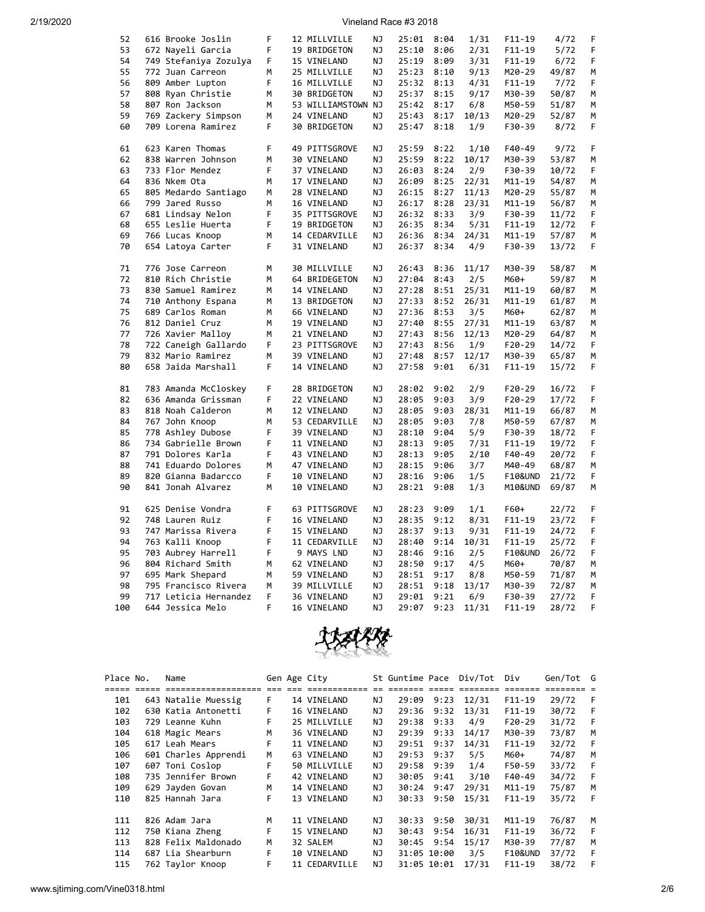| 52 | 616 Brooke Joslin     | F | 12 MILLVILLE       | ΝJ  | 25:01 | 8:04 | 1/31  | $F11 - 19$         | 4/72  | F |
|----|-----------------------|---|--------------------|-----|-------|------|-------|--------------------|-------|---|
| 53 | 672 Nayeli Garcia     | F | 19 BRIDGETON       | NJ  | 25:10 | 8:06 | 2/31  | $F11 - 19$         | 5/72  | F |
| 54 | 749 Stefaniya Zozulya | F | 15 VINELAND        | ΝJ  | 25:19 | 8:09 | 3/31  | $F11 - 19$         | 6/72  | F |
| 55 | 772 Juan Carreon      | M | 25 MILLVILLE       | ΝJ  | 25:23 | 8:10 | 9/13  | M20-29             | 49/87 | M |
| 56 | 809 Amber Lupton      | F | 16 MILLVILLE       | ΝJ  | 25:32 | 8:13 | 4/31  | $F11 - 19$         | 7/72  | F |
| 57 | 808 Ryan Christie     | М | 30 BRIDGETON       | ΝJ  | 25:37 | 8:15 | 9/17  | M30-39             | 50/87 | М |
| 58 | 807 Ron Jackson       | M | 53 WILLIAMSTOWN NJ |     | 25:42 | 8:17 | 6/8   | M50-59             | 51/87 | М |
| 59 | 769 Zackery Simpson   | М | 24 VINELAND        | ΝJ  | 25:43 | 8:17 | 10/13 | M20-29             | 52/87 | М |
| 60 | 709 Lorena Ramirez    | F | 30 BRIDGETON       | NJ  | 25:47 | 8:18 | 1/9   | F30-39             | 8/72  | F |
|    |                       |   |                    |     |       |      |       |                    |       |   |
| 61 | 623 Karen Thomas      | F | 49 PITTSGROVE      | ΝJ  | 25:59 | 8:22 | 1/10  | F40-49             | 9/72  | F |
| 62 | 838 Warren Johnson    | M | 30 VINELAND        | NJ. | 25:59 | 8:22 | 10/17 | M30-39             | 53/87 | M |
| 63 | 733 Flor Mendez       | F | 37 VINELAND        | NJ  | 26:03 | 8:24 | 2/9   | F30-39             | 10/72 | F |
| 64 | 836 Nkem Ota          | М | 17 VINELAND        | ΝJ  | 26:09 | 8:25 | 22/31 | M11-19             | 54/87 | М |
| 65 | 805 Medardo Santiago  | М | 28 VINELAND        | ΝJ  | 26:15 | 8:27 | 11/13 | M20-29             | 55/87 | М |
| 66 | 799 Jared Russo       | M | 16 VINELAND        | ΝJ  | 26:17 | 8:28 | 23/31 | M11-19             | 56/87 | M |
| 67 |                       | F | 35 PITTSGROVE      | ΝJ  | 26:32 | 8:33 | 3/9   | F30-39             | 11/72 | F |
|    | 681 Lindsay Nelon     | F |                    |     |       |      |       |                    |       |   |
| 68 | 655 Leslie Huerta     |   | 19 BRIDGETON       | NJ  | 26:35 | 8:34 | 5/31  | $F11 - 19$         | 12/72 | F |
| 69 | 766 Lucas Knoop       | М | 14 CEDARVILLE      | ΝJ  | 26:36 | 8:34 | 24/31 | M11-19             | 57/87 | М |
| 70 | 654 Latoya Carter     | F | 31 VINELAND        | ΝJ  | 26:37 | 8:34 | 4/9   | F30-39             | 13/72 | F |
| 71 | 776 Jose Carreon      | M | 30 MILLVILLE       | NJ  | 26:43 | 8:36 | 11/17 | M30-39             | 58/87 | М |
| 72 |                       |   |                    |     |       |      |       |                    |       |   |
|    | 810 Rich Christie     | М | 64 BRIDEGETON      | ΝJ  | 27:04 | 8:43 | 2/5   | M60+               | 59/87 | М |
| 73 | 830 Samuel Ramirez    | M | 14 VINELAND        | ΝJ  | 27:28 | 8:51 | 25/31 | M11-19             | 60/87 | M |
| 74 | 710 Anthony Espana    | М | 13 BRIDGETON       | ΝJ  | 27:33 | 8:52 | 26/31 | M11-19             | 61/87 | М |
| 75 | 689 Carlos Roman      | М | 66 VINELAND        | ΝJ  | 27:36 | 8:53 | 3/5   | M60+               | 62/87 | М |
| 76 | 812 Daniel Cruz       | М | 19 VINELAND        | ΝJ  | 27:40 | 8:55 | 27/31 | M11-19             | 63/87 | М |
| 77 | 726 Xavier Malloy     | M | 21 VINELAND        | ΝJ  | 27:43 | 8:56 | 12/13 | M20-29             | 64/87 | M |
| 78 | 722 Caneigh Gallardo  | F | 23 PITTSGROVE      | ΝJ  | 27:43 | 8:56 | 1/9   | $F20-29$           | 14/72 | F |
| 79 | 832 Mario Ramirez     | М | 39 VINELAND        | NJ  | 27:48 | 8:57 | 12/17 | M30-39             | 65/87 | М |
| 80 | 658 Jaida Marshall    | F | 14 VINELAND        | ΝJ  | 27:58 | 9:01 | 6/31  | $F11 - 19$         | 15/72 | F |
|    |                       |   |                    |     |       |      |       |                    |       |   |
| 81 | 783 Amanda McCloskey  | F | 28 BRIDGETON       | NJ  | 28:02 | 9:02 | 2/9   | $F20-29$           | 16/72 | F |
| 82 | 636 Amanda Grissman   | F | 22 VINELAND        | ΝJ  | 28:05 | 9:03 | 3/9   | $F20-29$           | 17/72 | F |
| 83 | 818 Noah Calderon     | М | 12 VINELAND        | ΝJ  | 28:05 | 9:03 | 28/31 | M11-19             | 66/87 | М |
| 84 | 767 John Knoop        | М | 53 CEDARVILLE      | ΝJ  | 28:05 | 9:03 | 7/8   | M50-59             | 67/87 | M |
| 85 | 778 Ashley Dubose     | F | 39 VINELAND        | ΝJ  | 28:10 | 9:04 | 5/9   | F30-39             | 18/72 | F |
| 86 | 734 Gabrielle Brown   | F | 11 VINELAND        | ΝJ  | 28:13 | 9:05 | 7/31  | $F11 - 19$         | 19/72 | F |
| 87 | 791 Dolores Karla     | F | 43 VINELAND        | ΝJ  | 28:13 | 9:05 | 2/10  | F40-49             | 20/72 | F |
| 88 | 741 Eduardo Dolores   | М | 47 VINELAND        | ΝJ  | 28:15 | 9:06 | 3/7   | M40-49             | 68/87 | M |
| 89 | 820 Gianna Badarcco   | F | 10 VINELAND        | NJ  | 28:16 | 9:06 | 1/5   | <b>F10&amp;UND</b> | 21/72 | F |
| 90 | 841 Jonah Alvarez     | М | 10 VINELAND        | ΝJ  | 28:21 | 9:08 | 1/3   | M10&UND            | 69/87 | M |
|    |                       |   |                    |     |       |      |       |                    |       |   |
| 91 | 625 Denise Vondra     | F | 63 PITTSGROVE      | ΝJ  | 28:23 | 9:09 | 1/1   | F60+               | 22/72 | F |
| 92 | 748 Lauren Ruiz       | F | 16 VINELAND        | NJ  | 28:35 | 9:12 | 8/31  | $F11 - 19$         | 23/72 | F |
| 93 | 747 Marissa Rivera    | F | 15 VINELAND        | ΝJ  | 28:37 | 9:13 | 9/31  | $F11 - 19$         | 24/72 | F |
| 94 | 763 Kalli Knoop       | F | 11 CEDARVILLE      | ΝJ  | 28:40 | 9:14 | 10/31 | $F11-19$           | 25/72 | F |
| 95 | 703 Aubrey Harrell    | F | 9 MAYS LND         | ΝJ  | 28:46 | 9:16 | 2/5   | F10&UND            | 26/72 | F |
| 96 | 804 Richard Smith     | М | 62 VINELAND        | ΝJ  | 28:50 | 9:17 | 4/5   | M60+               | 70/87 | М |
| 97 | 695 Mark Shepard      | M | 59 VINELAND        | NJ  | 28:51 | 9:17 | 8/8   | M50-59             | 71/87 | М |
| 98 | 795 Francisco Rivera  | М | 39 MILLVILLE       | ΝJ  | 28:51 | 9:18 | 13/17 | M30-39             | 72/87 | M |
| 99 | 717 Leticia Hernandez | F | 36 VINELAND        | ΝJ  | 29:01 | 9:21 | 6/9   | F30-39             | 27/72 | F |
|    |                       |   |                    |     |       |      |       |                    |       |   |



| Place No. | Name                 |       | Gen Age City  |     | St Guntime Pace |             | Div/Tot  | Div                | Gen/Tot G |     |
|-----------|----------------------|-------|---------------|-----|-----------------|-------------|----------|--------------------|-----------|-----|
|           | =================    | $---$ |               |     |                 |             | ======== | --------           |           |     |
| 101       | 643 Natalie Muessig  | F.    | 14 VINELAND   | ΝJ  | 29:09           | 9:23        | 12/31    | $F11-19$           | 29/72     | - F |
| 102       | 630 Katia Antonetti  | F     | 16 VINELAND   | ΝJ  | 29:36           | 9:32        | 13/31    | $F11-19$           | 30/72     | -F  |
| 103       | 729 Leanne Kuhn      | F.    | 25 MILLVILLE  | NJ  | 29:38           | 9:33        | 4/9      | $F20-29$           | 31/72     | -F  |
| 104       | 618 Magic Mears      | M     | 36 VINELAND   | ΝJ  | 29:39           | 9:33        | 14/17    | M30-39             | 73/87     | м   |
| 105       | 617 Leah Mears       | F     | 11 VINELAND   | NJ  | 29:51           | 9:37        | 14/31    | $F11-19$           | 32/72     | -F  |
| 106       | 601 Charles Apprendi | М     | 63 VINELAND   | NJ. | 29:53           | 9:37        | 5/5      | M60+               | 74/87     | M   |
| 107       | 607 Toni Coslop      | F.    | 50 MILLVILLE  | ΝJ  | 29:58           | 9:39        | 1/4      | F50-59             | 33/72     | -F  |
| 108       | 735 Jennifer Brown   | F     | 42 VINELAND   | ΝJ  | 30:05           | 9:41        | 3/10     | F40-49             | 34/72     | -F  |
| 109       | 629 Jayden Govan     | M     | 14 VINELAND   | NJ  | 30:24           | 9:47        | 29/31    | $M11 - 19$         | 75/87     | M   |
| 110       | 825 Hannah Jara      | F.    | 13 VINELAND   | NJ. | 30:33           | 9:50        | 15/31    | $F11-19$           | 35/72     | -F  |
| 111       | 826 Adam Jara        | М     | 11 VINELAND   | NJ. | 30:33           | 9:50        | 30/31    | $M11 - 19$         | 76/87     | M   |
| 112       | 750 Kiana Zheng      | F.    | 15 VINELAND   | NJ. | 30:43           | 9:54        | 16/31    | $F11-19$           | 36/72     | -F  |
| 113       | 828 Felix Maldonado  | м     | 32 SALEM      | NJ. | 30:45           | 9:54        | 15/17    | M30-39             | 77/87     | M   |
| 114       | 687 Lia Shearburn    | F.    | 10 VINELAND   | NJ  |                 | 31:05 10:00 | 3/5      | <b>F10&amp;UND</b> | 37/72     | F   |
| 115       | 762 Taylor Knoop     | F     | 11 CEDARVILLE | NJ. |                 | 31:05 10:01 | 17/31    | $F11-19$           | 38/72     | F   |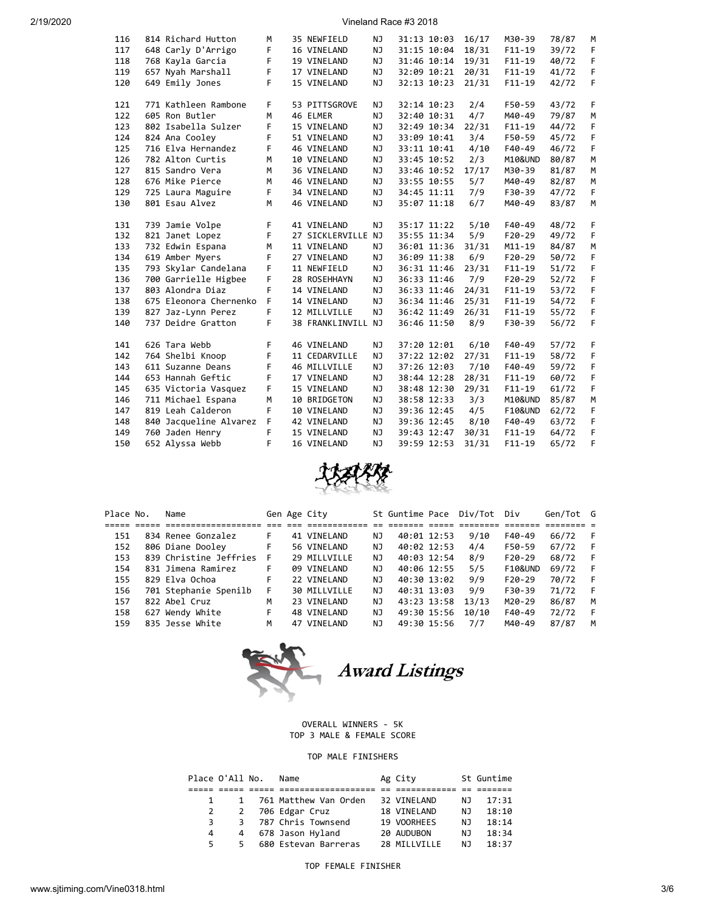| 116 | 814 Richard Hutton     | M | 35 NEWFIELD        | NJ        | 31:13 10:03 | 16/17 | M30-39             | 78/87 | M |
|-----|------------------------|---|--------------------|-----------|-------------|-------|--------------------|-------|---|
| 117 | 648 Carly D'Arrigo     | F | 16 VINELAND        | NJ        | 31:15 10:04 | 18/31 | $F11-19$           | 39/72 | F |
| 118 | 768 Kayla Garcia       | F | 19 VINELAND        | NJ        | 31:46 10:14 | 19/31 | $F11 - 19$         | 40/72 | F |
| 119 | 657 Nyah Marshall      | F | 17 VINELAND        | ΝJ        | 32:09 10:21 | 20/31 | $F11-19$           | 41/72 | F |
| 120 | 649 Emily Jones        | F | 15 VINELAND        | NJ        | 32:13 10:23 | 21/31 | $F11 - 19$         | 42/72 | F |
|     |                        |   |                    |           |             |       |                    |       |   |
| 121 | 771 Kathleen Rambone   | F | 53 PITTSGROVE      | NJ        | 32:14 10:23 | 2/4   | F50-59             | 43/72 | F |
| 122 | 605 Ron Butler         | M | 46 ELMER           | NJ        | 32:40 10:31 | 4/7   | M40-49             | 79/87 | M |
| 123 | 802 Isabella Sulzer    | F | 15 VINELAND        | NJ        | 32:49 10:34 | 22/31 | $F11-19$           | 44/72 | F |
| 124 | 824 Ana Cooley         | F | 51 VINELAND        | NJ        | 33:09 10:41 | 3/4   | F50-59             | 45/72 | F |
| 125 | 716 Elva Hernandez     | F | 46 VINELAND        | NJ        | 33:11 10:41 | 4/10  | $F40-49$           | 46/72 | F |
| 126 | 782 Alton Curtis       | M | 10 VINELAND        | NJ        | 33:45 10:52 | 2/3   | M10&UND            | 80/87 | M |
| 127 | 815 Sandro Vera        | M | 36 VINELAND        | NJ        | 33:46 10:52 | 17/17 | M30-39             | 81/87 | M |
| 128 | 676 Mike Pierce        | M | 46 VINELAND        | NJ        | 33:55 10:55 | 5/7   | M40-49             | 82/87 | M |
| 129 | 725 Laura Maguire      | F | 34 VINELAND        | NJ        | 34:45 11:11 | 7/9   | F30-39             | 47/72 | F |
| 130 | 801 Esau Alvez         | M | 46 VINELAND        | NJ        | 35:07 11:18 | 6/7   | M40-49             | 83/87 | M |
|     |                        |   |                    |           |             |       |                    |       |   |
| 131 | 739 Jamie Volpe        | F | 41 VINELAND        | ΝJ        | 35:17 11:22 | 5/10  | $F40-49$           | 48/72 | F |
| 132 | 821 Janet Lopez        | F | 27 SICKLERVILLE NJ |           | 35:55 11:34 | 5/9   | $F20-29$           | 49/72 | F |
| 133 | 732 Edwin Espana       | M | 11 VINELAND        | NJ        | 36:01 11:36 | 31/31 | $M11 - 19$         | 84/87 | M |
| 134 | 619 Amber Myers        | F | 27 VINELAND        | NJ        | 36:09 11:38 | 6/9   | $F20-29$           | 50/72 | F |
| 135 | 793 Skylar Candelana   | F | 11 NEWFIELD        | NJ        | 36:31 11:46 | 23/31 | $F11 - 19$         | 51/72 | F |
| 136 | 700 Garrielle Higbee   | F | 28 ROSEHHAYN       | <b>NJ</b> | 36:33 11:46 | 7/9   | $F20-29$           | 52/72 | F |
| 137 | 803 Alondra Diaz       | F | 14 VINELAND        | NJ        | 36:33 11:46 | 24/31 | $F11-19$           | 53/72 | F |
| 138 | 675 Eleonora Chernenko | F | 14 VINELAND        | NJ        | 36:34 11:46 | 25/31 | $F11-19$           | 54/72 | F |
| 139 | 827 Jaz-Lynn Perez     | F | 12 MILLVILLE       | <b>NJ</b> | 36:42 11:49 | 26/31 | $F11-19$           | 55/72 | F |
| 140 | 737 Deidre Gratton     | F | 38 FRANKLINVILL NJ |           | 36:46 11:50 | 8/9   | F30-39             | 56/72 | F |
|     |                        |   |                    |           |             |       |                    |       |   |
| 141 | 626 Tara Webb          | F | 46 VINELAND        | NJ        | 37:20 12:01 | 6/10  | $F40-49$           | 57/72 | F |
| 142 | 764 Shelbi Knoop       | F | 11 CEDARVILLE      | NJ.       | 37:22 12:02 | 27/31 | $F11 - 19$         | 58/72 | F |
| 143 | 611 Suzanne Deans      | F | 46 MILLVILLE       | NJ.       | 37:26 12:03 | 7/10  | F40-49             | 59/72 | F |
| 144 | 653 Hannah Geftic      | F | 17 VINELAND        | NJ        | 38:44 12:28 | 28/31 | $F11 - 19$         | 60/72 | F |
| 145 | 635 Victoria Vasquez   | F | 15 VINELAND        | NJ        | 38:48 12:30 | 29/31 | $F11 - 19$         | 61/72 | F |
| 146 | 711 Michael Espana     | M | 10 BRIDGETON       | ΝJ        | 38:58 12:33 | 3/3   | M10&UND            | 85/87 | M |
| 147 | 819 Leah Calderon      | F | 10 VINELAND        | NJ        | 39:36 12:45 | 4/5   | <b>F10&amp;UND</b> | 62/72 | F |
| 148 | 840 Jacqueline Alvarez | F | 42 VINELAND        | NJ        | 39:36 12:45 | 8/10  | $F40-49$           | 63/72 | F |
| 149 | 760 Jaden Henry        | F | 15 VINELAND        | NJ        | 39:43 12:47 | 30/31 | $F11 - 19$         | 64/72 | F |
| 150 | 652 Alyssa Webb        | F | 16 VINELAND        | NJ        | 39:59 12:53 | 31/31 | $F11 - 19$         | 65/72 | F |



| Place No. | Name                   |     | Gen Age City |     |             |             | St Guntime Pace Div/Tot Div |                    | Gen/Tot G |     |
|-----------|------------------------|-----|--------------|-----|-------------|-------------|-----------------------------|--------------------|-----------|-----|
|           | ====================   |     |              |     |             |             |                             |                    |           |     |
| 151       | 834 Renee Gonzalez     | F.  | 41 VINELAND  | NJ  | 40:01 12:53 |             | 9/10                        | F40-49             | 66/72     | - F |
| 152       | 806 Diane Dooley       | F   | 56 VINELAND  | ΝJ  | 40:02 12:53 |             | 4/4                         | F50-59             | 67/72     | - F |
| 153       | 839 Christine Jeffries | - F | 29 MILLVILLE | NJ. | 40:03 12:54 |             | 8/9                         | $F20-29$           | 68/72     | - F |
| 154       | 831 Jimena Ramirez     | F.  | 09 VINELAND  | NJ  | 40:06 12:55 |             | 5/5                         | <b>F10&amp;UND</b> | 69/72     | - F |
| 155       | 829 Elva Ochoa         | F.  | 22 VINELAND  | NJ  | 40:30 13:02 |             | 9/9                         | $F20-29$           | 70/72     | - F |
| 156       | 701 Stephanie Spenilb  | F   | 30 MILLVILLE | NJ. | 40:31 13:03 |             | 9/9                         | F30-39             | 71/72     | - F |
| 157       | 822 Abel Cruz          | М   | 23 VINELAND  | NJ  | 43:23 13:58 |             | 13/13                       | $M20 - 29$         | 86/87     | м   |
| 158       | 627 Wendy White        | F.  | 48 VINELAND  | NJ  |             | 49:30 15:56 | 10/10                       | F40-49             | 72/72     | - F |
| 159       | 835 Jesse White        | м   | 47 VINELAND  | NJ  | 49:30 15:56 |             | 7/7                         | M40-49             | 87/87     | M   |



OVERALL WINNERS - 5K TOP 3 MALE & FEMALE SCORE

## TOP MALE FINISHERS

|              | Place O'All No. | Name                  | Ag City      |     | St Guntime |
|--------------|-----------------|-----------------------|--------------|-----|------------|
|              |                 |                       |              |     |            |
| $\mathbf{1}$ | $\mathbf{1}$    | 761 Matthew Van Orden | 32 VINELAND  | NJ. | 17:31      |
|              | 2               | 706 Edgar Cruz        | 18 VINELAND  | NJ. | 18:10      |
| 3            | 3               | 787 Chris Townsend    | 19 VOORHEES  | NJ. | 18:14      |
| 4            | 4               | 678 Jason Hyland      | 20 AUDUBON   | ΝJ  | 18:34      |
| 5.           | 5               | 680 Estevan Barreras  | 28 MILLVILLE | NJ  | 18:37      |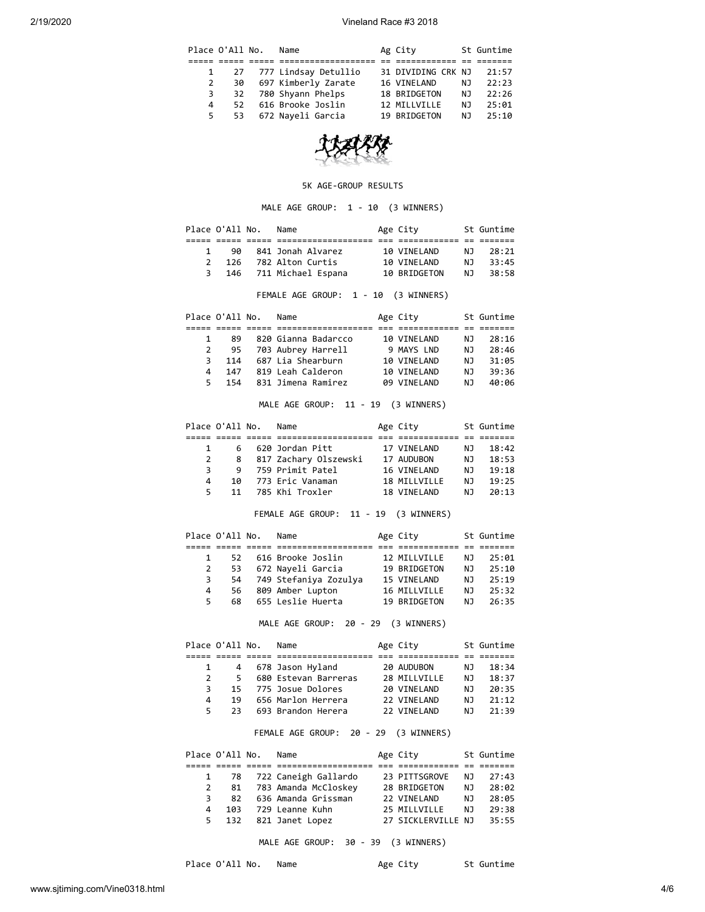|   | Place O'All No. | Name                      | Ag City            |     | St Guntime |
|---|-----------------|---------------------------|--------------------|-----|------------|
|   |                 |                           |                    |     |            |
|   |                 | 1 27 777 Lindsay Detullio | 31 DIVIDING CRK NJ |     | 21:57      |
| 2 | 30              | 697 Kimberly Zarate       | 16 VINELAND        | NJ  | 22:23      |
| 3 |                 | 32 780 Shyann Phelps      | 18 BRIDGETON       | NJ. | 22:26      |
| 4 | 52.             | 616 Brooke Joslin         | 12 MILLVILLE       | NJ. | 25:01      |
| 5 | 53              | 672 Nayeli Garcia         | 19 BRIDGETON       | N J | 25:10      |



#### 5K AGE-GROUP RESULTS

# MALE AGE GROUP: 1 - 10 (3 WINNERS)

|               | Place O'All No. | Name                   | Age City     |     | St Guntime |
|---------------|-----------------|------------------------|--------------|-----|------------|
|               |                 |                        |              |     |            |
|               | 90              | 841 Jonah Alvarez      | 10 VINELAND  | NJ. | - 28 : 21  |
| $\mathcal{P}$ | 126             | 782 Alton Curtis       | 10 VINELAND  | N T | 33:45      |
| 3 I           |                 | 146 711 Michael Espana | 10 BRIDGETON | N T | 38:58      |

FEMALE AGE GROUP: 1 - 10 (3 WINNERS)

|              | Place O'All No. | Name                | Age City    |     | St Guntime |
|--------------|-----------------|---------------------|-------------|-----|------------|
|              |                 |                     |             |     |            |
| $\mathbf{1}$ | 89              | 820 Gianna Badarcco | 10 VINELAND | NJ. | 28:16      |
|              | 95              | 703 Aubrey Harrell  | 9 MAYS LND  | N J | 28:46      |
| 3            | 114             | 687 Lia Shearburn   | 10 VINELAND | N J | 31:05      |
| 4            | 147             | 819 Leah Calderon   | 10 VINELAND | N J | 39:36      |
| 5.           | 154             | 831 Jimena Ramirez  | 09 VINELAND | N J | 40:06      |

MALE AGE GROUP: 11 - 19 (3 WINNERS)

| Place O'All No. |    |    | Name                  | Age City     |     | St Guntime |
|-----------------|----|----|-----------------------|--------------|-----|------------|
|                 |    |    |                       |              |     |            |
|                 |    |    | 6 620 Jordan Pitt     | 17 VINELAND  | NJ. | 18:42      |
|                 | 2  | 8  | 817 Zachary Olszewski | 17 AUDUBON   | ΝJ  | 18:53      |
|                 | 3  | 9  | 759 Primit Patel      | 16 VINELAND  | N J | 19:18      |
|                 | 4  | 10 | 773 Eric Vanaman      | 18 MILLVILLE | N J | 19:25      |
|                 | 5. | 11 | 785 Khi Troxler       | 18 VTNFI AND | ΝJ  | 20:13      |

FEMALE AGE GROUP: 11 - 19 (3 WINNERS)

|    | Place O'All No. | Name                     | Age City     |     | St Guntime |
|----|-----------------|--------------------------|--------------|-----|------------|
|    |                 |                          |              |     |            |
|    |                 | 52 616 Brooke Joslin     | 12 MILLVILLE | N J | 25:01      |
| 2  |                 | 53 672 Nayeli Garcia     | 19 BRIDGETON | NJ. | 25:10      |
| 3  |                 | 54 749 Stefaniya Zozulya | 15 VINELAND  | NJ. | 25:19      |
| 4  | 56              | 809 Amber Lupton         | 16 MILLVILLE | N J | 25:32      |
| 5. | 68              | 655 Leslie Huerta        | 19 BRIDGETON | N J | 26:35      |
|    |                 |                          |              |     |            |

MALE AGE GROUP: 20 - 29 (3 WINNERS)

|               | Place O'All No. | Name                 | Age City     |     | St Guntime |
|---------------|-----------------|----------------------|--------------|-----|------------|
|               |                 |                      |              |     |            |
|               |                 | 4 678 Jason Hyland   | 20 AUDUBON   | ΝJ  | 18:34      |
| $\mathcal{P}$ | 5.              | 680 Estevan Barreras | 28 MILLVILLE | N J | 18:37      |
| 3.            |                 | 15 775 Josue Dolores | 20 VINELAND  | N J | 20:35      |
| 4             | 19              | 656 Marlon Herrera   | 22 VTNFI AND | NJ. | 21:12      |
| 5.            | フ3              | 693 Brandon Herera   | 22 VTNFI AND | N٦  | 21:39      |

## FEMALE AGE GROUP: 20 - 29 (3 WINNERS)

|   | Place O'All No. | Name                      | Age City           |     | St Guntime |
|---|-----------------|---------------------------|--------------------|-----|------------|
|   |                 |                           |                    |     |            |
|   |                 | 1 78 722 Caneigh Gallardo | 23 PITTSGROVE      | NJ. | 27:43      |
| 2 | 81              | 783 Amanda McCloskey      | 28 BRIDGETON       | NJ. | 28:02      |
| 3 | 82              | 636 Amanda Grissman       | 22 VINELAND        | N J | 28:05      |
| 4 | 103             | 729 Leanne Kuhn           | 25 MILLVILLE       | N J | 29:38      |
| 5 |                 | 132 821 Janet Lopez       | 27 SICKLERVILLE NJ |     | 35:55      |

MALE AGE GROUP: 30 - 39 (3 WINNERS)

Place O'All No. Name Age City St Guntime